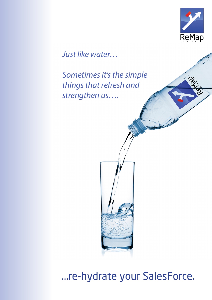

Pro-100

*Just like water…* 

*Sometimes it's the simple things that refresh and strengthen us….*

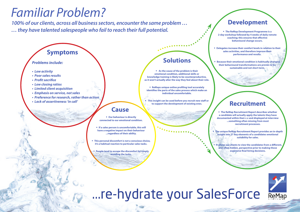*•* **Our behaviour is directly connected to our emotional condition.** 

*•* **If a sales person is uncomfortable, this will have a negative impact on their behaviour ...regardless of their ability.** 

*•* **This personal discomfort is not a conscious choice, it's a habitual reaction to particular sales tasks.**

*•* **People tend to escape the discomfort by simply avoiding the tasks.**

# ...re-hydrate your SalesForce

*•* **The ReMap Recruitment Report describes whether a candidate will actually apply the talents they have documented within their c.v and displayed at interview ...something often missing from most recruitment processes.** 

*•* **The unique ReMap Recruitment Report provides an in-depth insight into 21 key elements of a candidates emotional suitability for sales.**

*•* **It allows our clients to view the candidates from a different, and often hidden, perspective prior to making those expensive final hiring decisions.** 





*•* **As the cause of the problem is their emotional condition, additional skills or knowledge training is likely to be counterproductive, as it won't actually alter the way they feel about their role.**

*•* **ReMaps unique online profiling tool accurately identifies the parts of the sales process which make an individual uncomfortable.**

*•* **This insight can be used before you recruit new staff or to support the development of existing ones.**

## *Familiar Problem?*

*100% of our clients, across all business sectors, encounter the same problem … … they have talented salespeople who fail to reach their full potential. •* **The ReMap Development Programme is a** 

**2-day workshop followed by 4 weeks of daily remote coaching; this ensures that effective behavioural change occurs.**

*•* **Delegates increase their comfort levels in relation to their sales activities, and therefore improve their performance and results.** 

*•* **Because their emotional condition is habitually changed, their behavioural transformations are proven to be sustainable and not short term.**

### **Cause**

## **Recruitment**

## **Solutions**

## **Development**